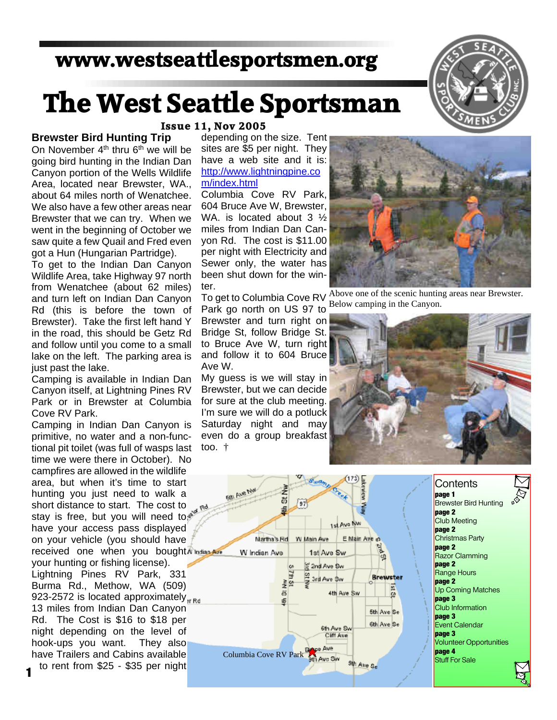## **www.westseattlesportsmen.org**

## **The West Seattle Sportsman**



#### **Brewster Bird Hunting Trip**

On November  $4<sup>th</sup>$  thru  $6<sup>th</sup>$  we will be going bird hunting in the Indian Dan Canyon portion of the Wells Wildlife Area, located near Brewster, WA., about 64 miles north of Wenatchee. We also have a few other areas near Brewster that we can try. When we went in the beginning of October we saw quite a few Quail and Fred even got a Hun (Hungarian Partridge).

To get to the Indian Dan Canyon Wildlife Area, take Highway 97 north from Wenatchee (about 62 miles) and turn left on Indian Dan Canyon Rd (this is before the town of Brewster). Take the first left hand Y in the road, this should be Getz Rd and follow until you come to a small lake on the left. The parking area is just past the lake.

Camping is available in Indian Dan Canyon itself, at Lightning Pines RV Park or in Brewster at Columbia Cove RV Park.

Camping in Indian Dan Canyon is primitive, no water and a non-functional pit toilet (was full of wasps last time we were there in October). No campfires are allowed in the wildlife area, but when it's time to start hunting you just need to walk a short distance to start. The cost to stay is free, but you will need to a red have your access pass displayed on your vehicle (you should have received one when you bought indian Ave your hunting or fishing license). Lightning Pines RV Park, 331 Burma Rd., Methow, WA (509) 923-2572 is located approximately  $_{\text{sr} \text{Rd}}$ 13 miles from Indian Dan Canyon Rd. The Cost is \$16 to \$18 per night depending on the level of hook-ups you want. They also have Trailers and Cabins available to rent from \$25 - \$35 per night **1**

#### **Issue 11, Nov 2005**

depending on the size. Tent sites are \$5 per night. They have a web site and it is: http://www.lightningpine.co m/index.html

Columbia Cove RV Park, 604 Bruce Ave W, Brewster, WA. is located about 3  $\frac{1}{2}$ miles from Indian Dan Canyon Rd. The cost is \$11.00 per night with Electricity and Sewer only, the water has been shut down for the winter.

Park go north on US 97 to Brewster and turn right on Bridge St, follow Bridge St. to Bruce Ave W, turn right and follow it to 604 Bruce Ave W.

My guess is we will stay in Brewster, but we can decide for sure at the club meeting. I'm sure we will do a potluck Saturday night and may even do a group breakfast too. †



 $T_0$  get to Columbia Cove RV Above one of the scenic hunting areas near Brewster. Below camping in the Canyon.



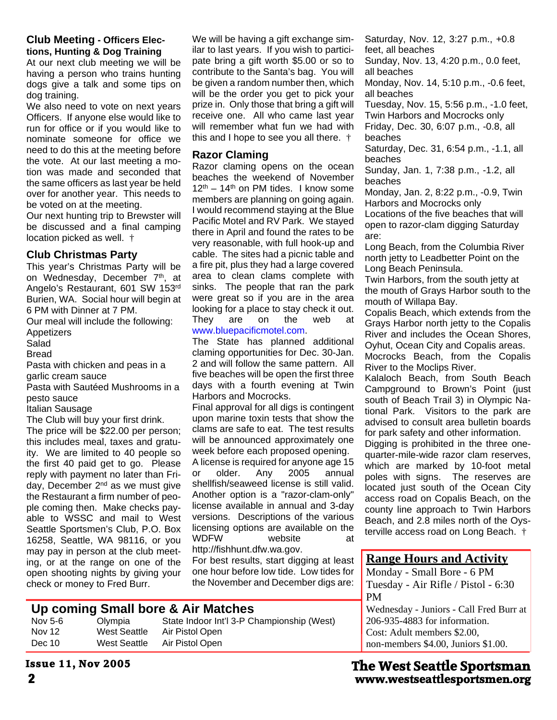#### **Club Meeting - Officers Elections, Hunting & Dog Training**

At our next club meeting we will be having a person who trains hunting dogs give a talk and some tips on dog training.

We also need to vote on next years Officers. If anyone else would like to run for office or if you would like to nominate someone for office we need to do this at the meeting before the vote. At our last meeting a motion was made and seconded that the same officers as last year be held over for another year. This needs to be voted on at the meeting.

Our next hunting trip to Brewster will be discussed and a final camping location picked as well. †

#### **Club Christmas Party**

This year's Christmas Party will be on Wednesday, December 7<sup>th</sup>, at Angelo's Restaurant, 601 SW 153rd Burien, WA. Social hour will begin at 6 PM with Dinner at 7 PM.

Our meal will include the following:

Appetizers

Salad

**Bread** 

Pasta with chicken and peas in a garlic cream sauce

Pasta with Sautéed Mushrooms in a pesto sauce

Italian Sausage

The Club will buy your first drink.

The price will be \$22.00 per person; this includes meal, taxes and gratuity. We are limited to 40 people so the first 40 paid get to go. Please reply with payment no later than Friday, December 2<sup>nd</sup> as we must give the Restaurant a firm number of people coming then. Make checks payable to WSSC and mail to West Seattle Sportsmen's Club, P.O. Box 16258, Seattle, WA 98116, or you may pay in person at the club meeting, or at the range on one of the open shooting nights by giving your check or money to Fred Burr.

We will be having a gift exchange similar to last years. If you wish to participate bring a gift worth \$5.00 or so to contribute to the Santa's bag. You will be given a random number then, which will be the order you get to pick your prize in. Only those that bring a gift will receive one. All who came last year will remember what fun we had with this and I hope to see you all there. †

#### **Razor Claming**

Razor claming opens on the ocean beaches the weekend of November  $12<sup>th</sup> - 14<sup>th</sup>$  on PM tides. I know some members are planning on going again. I would recommend staying at the Blue Pacific Motel and RV Park. We stayed there in April and found the rates to be very reasonable, with full hook-up and cable. The sites had a picnic table and a fire pit, plus they had a large covered area to clean clams complete with sinks. The people that ran the park were great so if you are in the area looking for a place to stay check it out. They are on the web at www.bluepacificmotel.com.

The State has planned additional claming opportunities for Dec. 30-Jan. 2 and will follow the same pattern. All five beaches will be open the first three days with a fourth evening at Twin Harbors and Mocrocks.

Final approval for all digs is contingent upon marine toxin tests that show the clams are safe to eat. The test results will be announced approximately one week before each proposed opening.

A license is required for anyone age 15 or older. Any 2005 annual shellfish/seaweed license is still valid. Another option is a "razor-clam-only" license available in annual and 3-day versions. Descriptions of the various licensing options are available on the WDFW website at http://fishhunt.dfw.wa.gov.

For best results, start digging at least one hour before low tide. Low tides for the November and December digs are:

#### **Up coming Small bore & Air Matches**

| Nov 5-6 | Olympia      | State Indoor Int'l 3-P Championship (West) |
|---------|--------------|--------------------------------------------|
| Nov 12  | West Seattle | Air Pistol Open                            |
| Dec 10  | West Seattle | Air Pistol Open                            |

Saturday, Nov. 12, 3:27 p.m., +0.8 feet, all beaches

Sunday, Nov. 13, 4:20 p.m., 0.0 feet, all beaches

Monday, Nov. 14, 5:10 p.m., -0.6 feet, all beaches

Tuesday, Nov. 15, 5:56 p.m., -1.0 feet, Twin Harbors and Mocrocks only Friday, Dec. 30, 6:07 p.m., -0.8, all beaches

Saturday, Dec. 31, 6:54 p.m., -1.1, all beaches

Sunday, Jan. 1, 7:38 p.m., -1.2, all beaches

Monday, Jan. 2, 8:22 p.m., -0.9, Twin Harbors and Mocrocks only

Locations of the five beaches that will open to razor-clam digging Saturday are:

Long Beach, from the Columbia River north jetty to Leadbetter Point on the Long Beach Peninsula.

Twin Harbors, from the south jetty at the mouth of Grays Harbor south to the mouth of Willapa Bay.

Copalis Beach, which extends from the Grays Harbor north jetty to the Copalis River and includes the Ocean Shores, Oyhut, Ocean City and Copalis areas.

Mocrocks Beach, from the Copalis River to the Moclips River.

Kalaloch Beach, from South Beach Campground to Brown's Point (just south of Beach Trail 3) in Olympic National Park. Visitors to the park are advised to consult area bulletin boards for park safety and other information.

Digging is prohibited in the three onequarter-mile-wide razor clam reserves, which are marked by 10-foot metal poles with signs. The reserves are located just south of the Ocean City access road on Copalis Beach, on the county line approach to Twin Harbors Beach, and 2.8 miles north of the Oysterville access road on Long Beach. †

#### **Range Hours and Activity**

Monday - Small Bore - 6 PM Tuesday - Air Rifle / Pistol - 6:30 PM Wednesday - Juniors - Call Fred Burr at 206-935-4883 for information. Cost: Adult members \$2.00,

non-members \$4.00, Juniors \$1.00.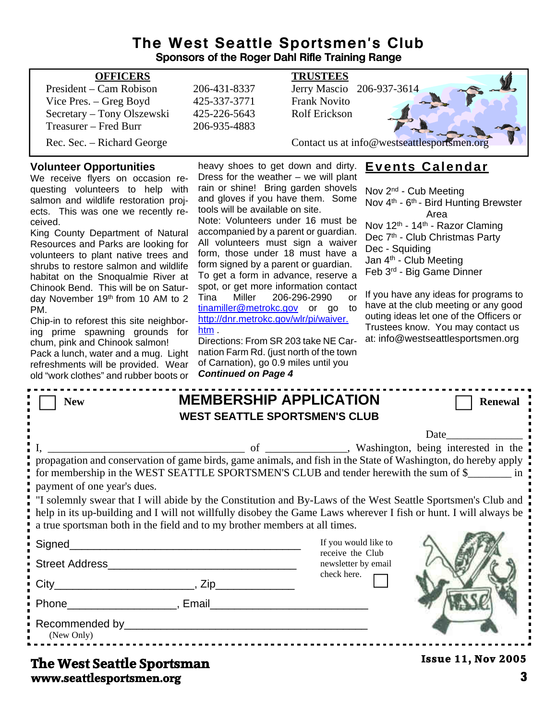#### **The West Seattle Sportsmen's Club Sponsors of the Roger Dahl Rifle Training Range**

| <b>OFFICERS</b>            |              | <b>TRUSTEES</b>                             |
|----------------------------|--------------|---------------------------------------------|
| President – Cam Robison    | 206-431-8337 | Jerry Mascio 206-937-3614                   |
| Vice Pres. – Greg Boyd     | 425-337-3771 | <b>Frank Novito</b>                         |
| Secretary – Tony Olszewski | 425-226-5643 | <b>Rolf Erickson</b>                        |
| Treasurer – Fred Burr      | 206-935-4883 |                                             |
| Rec. Sec. – Richard George |              | Contact us at info@westseattlesportsmen.org |

#### **Volunteer Opportunities**

We receive flyers on occasion requesting volunteers to help with salmon and wildlife restoration projects. This was one we recently received.

King County Department of Natural Resources and Parks are looking for volunteers to plant native trees and shrubs to restore salmon and wildlife habitat on the Snoqualmie River at Chinook Bend. This will be on Saturday November 19<sup>th</sup> from 10 AM to 2 PM.

Chip-in to reforest this site neighboring prime spawning grounds for chum, pink and Chinook salmon!

Pack a lunch, water and a mug. Light refreshments will be provided. Wear old "work clothes" and rubber boots or

heavy shoes to get down and dirty. Dress for the weather  $-$  we will plant rain or shine! Bring garden shovels and gloves if you have them. Some tools will be available on site.

Note: Volunteers under 16 must be accompanied by a parent or guardian. All volunteers must sign a waiver form, those under 18 must have a form signed by a parent or guardian. To get a form in advance, reserve a spot, or get more information contact Tina Miller 206-296-2990 or tinamiller@metrokc.gov or go to http://dnr.metrokc.gov/wlr/pi/waiver. htm .

Directions: From SR 203 take NE Carnation Farm Rd. (just north of the town of Carnation), go 0.9 miles until you *Continued on Page 4*

#### **Events Calendar**

Nov 2nd - Cub Meeting Nov 4<sup>th</sup> - 6<sup>th</sup> - Bird Hunting Brewster Area Nov 12<sup>th</sup> - 14<sup>th</sup> - Razor Claming Dec 7<sup>th</sup> - Club Christmas Party Dec - Squiding Jan 4<sup>th</sup> - Club Meeting Feb 3rd - Big Game Dinner

If you have any ideas for programs to have at the club meeting or any good outing ideas let one of the Officers or Trustees know. You may contact us at: info@westseattlesportsmen.org

| <b>New</b>                                                                                                                                                                                                                                                                                                                                                                                                                                                                                                                                                       | <b>MEMBERSHIP APPLICATION</b><br><b>WEST SEATTLE SPORTSMEN'S CLUB</b>                                                                                                                                                                                                                                                                                  |                                                                                | <b>Renewal</b>            |  |  |  |
|------------------------------------------------------------------------------------------------------------------------------------------------------------------------------------------------------------------------------------------------------------------------------------------------------------------------------------------------------------------------------------------------------------------------------------------------------------------------------------------------------------------------------------------------------------------|--------------------------------------------------------------------------------------------------------------------------------------------------------------------------------------------------------------------------------------------------------------------------------------------------------------------------------------------------------|--------------------------------------------------------------------------------|---------------------------|--|--|--|
| Date<br>propagation and conservation of game birds, game animals, and fish in the State of Washington, do hereby apply<br>for membership in the WEST SEATTLE SPORTSMEN'S CLUB and tender herewith the sum of \$<br>payment of one year's dues.<br>"I solemnly swear that I will abide by the Constitution and By-Laws of the West Seattle Sportsmen's Club and<br>help in its up-building and I will not willfully disobey the Game Laws wherever I fish or hunt. I will always be<br>a true sportsman both in the field and to my brother members at all times. |                                                                                                                                                                                                                                                                                                                                                        |                                                                                |                           |  |  |  |
| Signed_____________                                                                                                                                                                                                                                                                                                                                                                                                                                                                                                                                              | <u> 1989 - Johann John Stone, mars eta bat eta bat eta bat eta bat eta bat eta bat eta bat eta bat eta bat eta b</u><br>Street Address and the street Address and the street Address and the street Address and the street of the street of the street of the street of the street of the street of the street of the street of the street of the stre | If you would like to<br>receive the Club<br>newsletter by email<br>check here. |                           |  |  |  |
| (New Only)                                                                                                                                                                                                                                                                                                                                                                                                                                                                                                                                                       | Phone <b>Email</b> Phone <b>Phone Phone Phone Phone Phone Phone Phone Phone Phone Phone Phone Phone Phone Phone Phone Phone Phone Phone Phone Phone Phone Phone Phone Phone Phone P</b>                                                                                                                                                                |                                                                                |                           |  |  |  |
| Tha Wast Santtla Sna <del>xteman</del>                                                                                                                                                                                                                                                                                                                                                                                                                                                                                                                           |                                                                                                                                                                                                                                                                                                                                                        |                                                                                | <b>Issue 11, Nov 2005</b> |  |  |  |

#### **www.seattlesportsmen.org 3 The West Seattle Sportsman**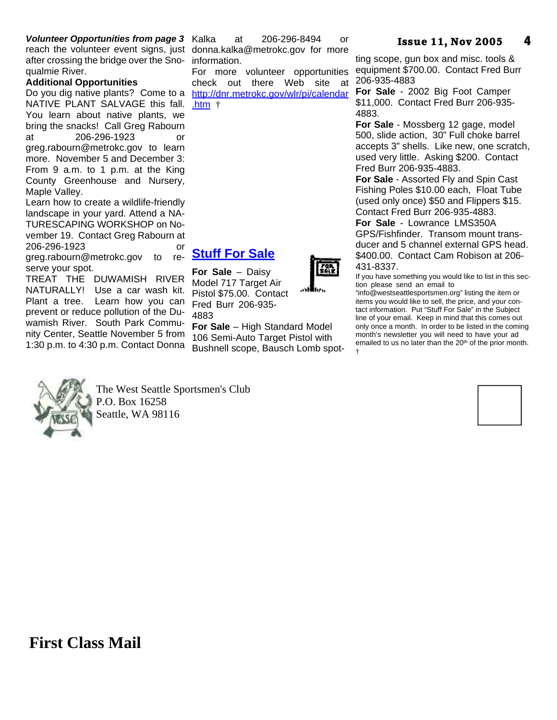#### *Volunteer Opportunities from page 3*

reach the volunteer event signs, just donna.kalka@metrokc.gov for more after crossing the bridge over the Sno-information. qualmie River.

#### **Additional Opportunities**

Do you dig native plants? Come to a NATIVE PLANT SALVAGE this fall. You learn about native plants, we bring the snacks! Call Greg Rabourn at 206-296-1923 or greg.rabourn@metrokc.gov to learn more. November 5 and December 3: From 9 a.m. to 1 p.m. at the King County Greenhouse and Nursery, Maple Valley.

Learn how to create a wildlife-friendly landscape in your yard. Attend a NA-TURESCAPING WORKSHOP on November 19. Contact Greg Rabourn at 206-296-1923 or

greg.rabourn@metrokc.gov to reserve your spot.

TREAT THE DUWAMISH RIVER NATURALLY! Use a car wash kit. Plant a tree. Learn how you can prevent or reduce pollution of the Duwamish River. South Park Community Center, Seattle November 5 from 1:30 p.m. to 4:30 p.m. Contact Donna



For more volunteer opportunities check out there Web site at http://dnr.metrokc.gov/wlr/pi/calendar .htm †

#### **Stuff For Sale**

**For Sale** – Daisy Model 717 Target Air Pistol \$75.00. Contact Fred Burr 206-935- 4883

**For Sale** – High Standard Model 106 Semi-Auto Target Pistol with Bushnell scope, Bausch Lomb spot-



ting scope, gun box and misc. tools & equipment \$700.00. Contact Fred Burr 206-935-4883

**For Sale** - 2002 Big Foot Camper \$11,000. Contact Fred Burr 206-935- 4883.

**For Sale** - Mossberg 12 gage, model 500, slide action, 30" Full choke barrel accepts 3" shells. Like new, one scratch, used very little. Asking \$200. Contact Fred Burr 206-935-4883.

**For Sale** - Assorted Fly and Spin Cast Fishing Poles \$10.00 each, Float Tube (used only once) \$50 and Flippers \$15. Contact Fred Burr 206-935-4883.

**For Sale** - Lowrance LMS350A GPS/Fishfinder. Transom mount transducer and 5 channel external GPS head. \$400.00. Contact Cam Robison at 206- 431-8337.

If you have something you would like to list in this section please send an email to

"info@westseattlesportsmen.org" listing the item or items you would like to sell, the price, and your contact information. Put "Stuff For Sale" in the Subject line of your email. Keep in mind that this comes out only once a month. In order to be listed in the coming month's newsletter you will need to have your ad emailed to us no later than the 20<sup>th</sup> of the prior month. †



The West Seattle Sportsmen's Club P.O. Box 16258 Seattle, WA 98116



### **First Class Mail**